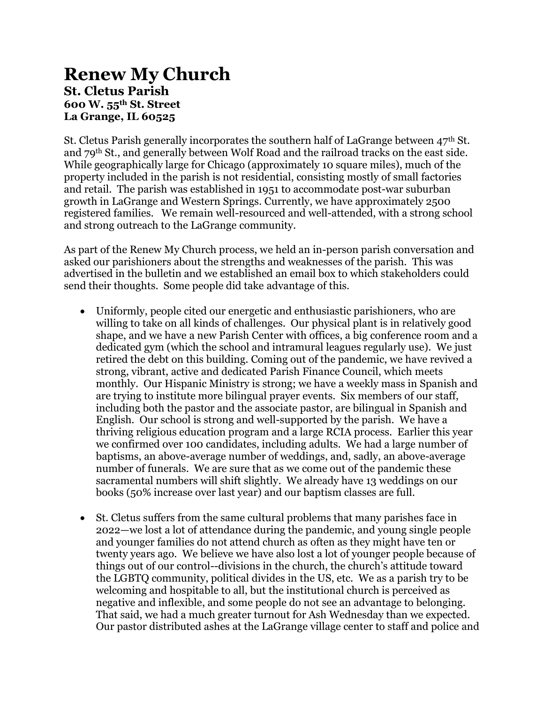## **Renew My Church St. Cletus Parish 600 W. 55th St. Street La Grange, IL 60525**

St. Cletus Parish generally incorporates the southern half of LaGrange between  $47<sup>th</sup>$  St. and 79th St., and generally between Wolf Road and the railroad tracks on the east side. While geographically large for Chicago (approximately 10 square miles), much of the property included in the parish is not residential, consisting mostly of small factories and retail. The parish was established in 1951 to accommodate post-war suburban growth in LaGrange and Western Springs. Currently, we have approximately 2500 registered families. We remain well-resourced and well-attended, with a strong school and strong outreach to the LaGrange community.

As part of the Renew My Church process, we held an in-person parish conversation and asked our parishioners about the strengths and weaknesses of the parish. This was advertised in the bulletin and we established an email box to which stakeholders could send their thoughts. Some people did take advantage of this.

- Uniformly, people cited our energetic and enthusiastic parishioners, who are willing to take on all kinds of challenges. Our physical plant is in relatively good shape, and we have a new Parish Center with offices, a big conference room and a dedicated gym (which the school and intramural leagues regularly use). We just retired the debt on this building. Coming out of the pandemic, we have revived a strong, vibrant, active and dedicated Parish Finance Council, which meets monthly. Our Hispanic Ministry is strong; we have a weekly mass in Spanish and are trying to institute more bilingual prayer events. Six members of our staff, including both the pastor and the associate pastor, are bilingual in Spanish and English. Our school is strong and well-supported by the parish. We have a thriving religious education program and a large RCIA process. Earlier this year we confirmed over 100 candidates, including adults. We had a large number of baptisms, an above-average number of weddings, and, sadly, an above-average number of funerals. We are sure that as we come out of the pandemic these sacramental numbers will shift slightly. We already have 13 weddings on our books (50% increase over last year) and our baptism classes are full.
- St. Cletus suffers from the same cultural problems that many parishes face in 2022—we lost a lot of attendance during the pandemic, and young single people and younger families do not attend church as often as they might have ten or twenty years ago. We believe we have also lost a lot of younger people because of things out of our control--divisions in the church, the church's attitude toward the LGBTQ community, political divides in the US, etc. We as a parish try to be welcoming and hospitable to all, but the institutional church is perceived as negative and inflexible, and some people do not see an advantage to belonging. That said, we had a much greater turnout for Ash Wednesday than we expected. Our pastor distributed ashes at the LaGrange village center to staff and police and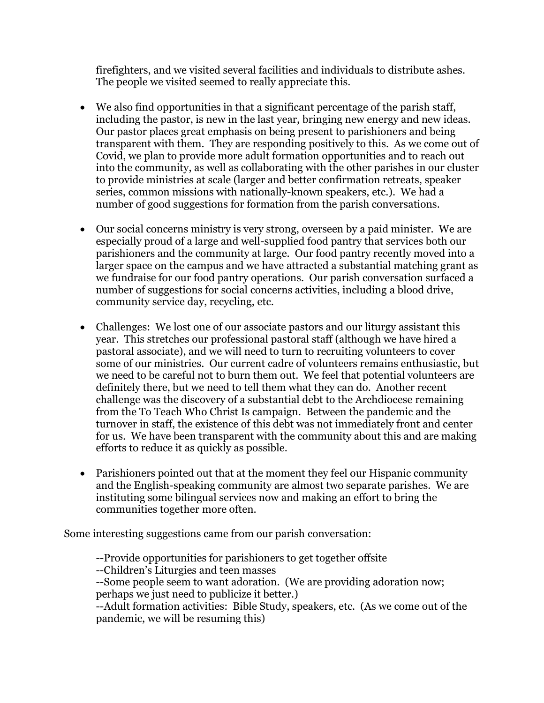firefighters, and we visited several facilities and individuals to distribute ashes. The people we visited seemed to really appreciate this.

- We also find opportunities in that a significant percentage of the parish staff, including the pastor, is new in the last year, bringing new energy and new ideas. Our pastor places great emphasis on being present to parishioners and being transparent with them. They are responding positively to this. As we come out of Covid, we plan to provide more adult formation opportunities and to reach out into the community, as well as collaborating with the other parishes in our cluster to provide ministries at scale (larger and better confirmation retreats, speaker series, common missions with nationally-known speakers, etc.). We had a number of good suggestions for formation from the parish conversations.
- Our social concerns ministry is very strong, overseen by a paid minister. We are especially proud of a large and well-supplied food pantry that services both our parishioners and the community at large. Our food pantry recently moved into a larger space on the campus and we have attracted a substantial matching grant as we fundraise for our food pantry operations. Our parish conversation surfaced a number of suggestions for social concerns activities, including a blood drive, community service day, recycling, etc.
- Challenges: We lost one of our associate pastors and our liturgy assistant this year. This stretches our professional pastoral staff (although we have hired a pastoral associate), and we will need to turn to recruiting volunteers to cover some of our ministries. Our current cadre of volunteers remains enthusiastic, but we need to be careful not to burn them out. We feel that potential volunteers are definitely there, but we need to tell them what they can do. Another recent challenge was the discovery of a substantial debt to the Archdiocese remaining from the To Teach Who Christ Is campaign. Between the pandemic and the turnover in staff, the existence of this debt was not immediately front and center for us. We have been transparent with the community about this and are making efforts to reduce it as quickly as possible.
- Parishioners pointed out that at the moment they feel our Hispanic community and the English-speaking community are almost two separate parishes. We are instituting some bilingual services now and making an effort to bring the communities together more often.

Some interesting suggestions came from our parish conversation:

--Provide opportunities for parishioners to get together offsite

--Children's Liturgies and teen masses

--Some people seem to want adoration. (We are providing adoration now; perhaps we just need to publicize it better.)

--Adult formation activities: Bible Study, speakers, etc. (As we come out of the pandemic, we will be resuming this)